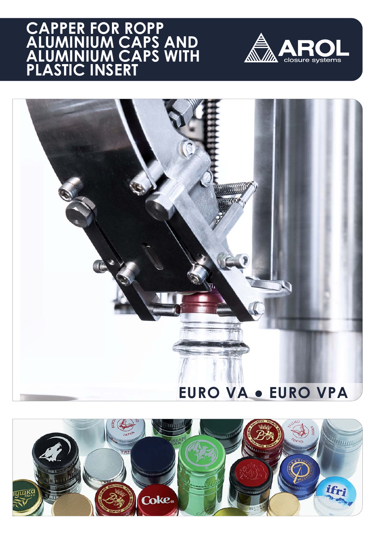## **CAPPER FOR ROPP ALUMINIUM CAPS AND ALUMINIUM CAPS WITH PLASTIC INSERT**





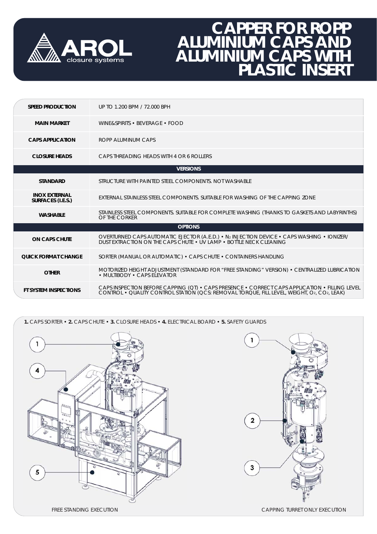

## **CAPPER FOR ROPP ALUMINIUM CAPS AND ALUMINIUM CAPS WITH PLASTIC INSERT**

| <b>SPEED PRODUCTION</b>                   | UP TO 1.200 BPM / 72.000 BPH                                                                                                                                                              |
|-------------------------------------------|-------------------------------------------------------------------------------------------------------------------------------------------------------------------------------------------|
| <b>MAIN MARKET</b>                        | WINE&SPIRITS • BEVERAGE • FOOD                                                                                                                                                            |
| <b>CAPS APPLICATION</b>                   | ROPP ALUMINUM CAPS                                                                                                                                                                        |
| <b>CLOSURE HEADS</b>                      | CAPS THREADING HEADS WITH 4 OR 6 ROLLERS                                                                                                                                                  |
|                                           | <b>VERSIONS</b>                                                                                                                                                                           |
| <b>STANDARD</b>                           | STRUCTURE WITH PAINTED STEEL COMPONENTS. NOT WASHABLE                                                                                                                                     |
| <b>INOX EXTERNAL</b><br>SURFACES (I.E.S.) | EXTERNAL STAINLESS STEEL COMPONENTS. SUITABLE FOR WASHING OF THE CAPPING ZONE                                                                                                             |
| <b>WASHABLE</b>                           | STAINLESS STEEL COMPONENTS. SUITABLE FOR COMPLETE WASHING (THANKS TO GASKETS AND LABYRINTHS)<br>OF THE CORKER                                                                             |
|                                           | <b>OPTIONS</b>                                                                                                                                                                            |
| <b>ON CAPS CHUTE</b>                      | OVERTURNED CAPS AUTOMATIC EJECTOR (A.E.D.) • N2 INJECTION DEVICE • CAPS WASHING • IONIZER/<br>DUST EXTRACTION ON THE CAPS CHUTE . UV LAMP . BOTTLE NECK CLEANING                          |
| <b><i>OUICK FORMAT CHANGE</i></b>         | SORTER (MANUAL OR AUTOMATIC) • CAPS CHUTE • CONTAINERS HANDLING                                                                                                                           |
| <b>OTHER</b>                              | MOTORIZED HEIGHT ADJUSTMENT (STANDARD FOR "FREE STANDING" VERSION) • CENTRALIZED LUBRICATION<br>• MULTIBODY • CAPS ELEVATOR                                                               |
| <b>FT SYSTEM INSPECTIONS</b>              | CAPS INSPECTION BEFORE CAPPING (QT) • CAPS PRESENCE • CORRECT CAPS APPLICATION • FILLING LEVEL CONTROL • QUALITY CONTROL STATION (QCS: REMOVAL TORQUE, FILL LEVEL, WEIGHT, O2, CO2, LEAK) |

**1.** CAPS SORTER • **2.** CAPS CHUTE • **3.** CLOSURE HEADS • **4.** ELECTRICAL BOARD • **5.** SAFETY GUARDS

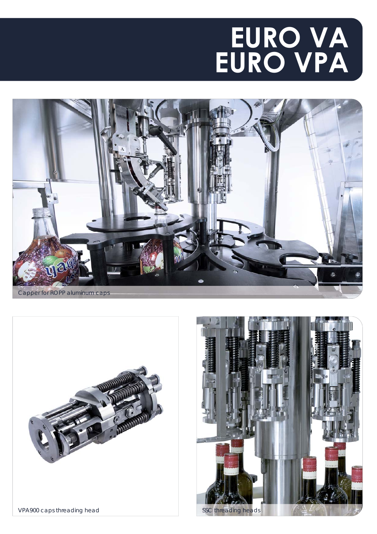# **EURO VA EURO VPA**